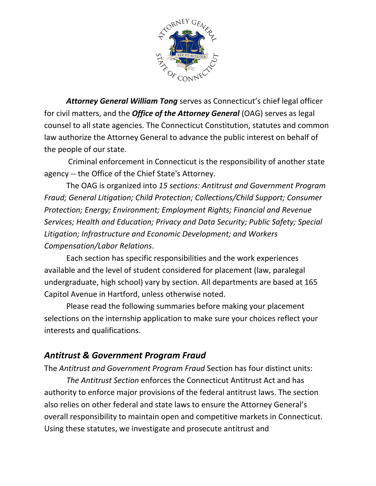

*Attorney General William Tong* serves as Connecticut's chief legal officer for civil matters, and the *Office of the Attorney General* (OAG) serves as legal counsel to all state agencies. The Connecticut Constitution, statutes and common law authorize the Attorney General to advance the public interest on behalf of the people of our state.

Criminal enforcement in Connecticut is the responsibility of another state agency -- the Office of the Chief State's Attorney.

The OAG is organized into *15 sections: Antitrust and Government Program Fraud; General Litigation; Child Protection; Collections/Child Support; Consumer Protection; Energy; Environment; Employment Rights; Financial and Revenue Services; Health and Education; Privacy and Data Security; Public Safety; Special Litigation; Infrastructure and Economic Development; and Workers Compensation/Labor Relations*.

Each section has specific responsibilities and the work experiences available and the level of student considered for placement (law, paralegal undergraduate, high school) vary by section. All departments are based at 165 Capitol Avenue in Hartford, unless otherwise noted.

Please read the following summaries before making your placement selections on the internship application to make sure your choices reflect your interests and qualifications.

# *Antitrust & Government Program Fraud*

The *Antitrust and Government Program Fraud* Section has four distinct units:

*The Antitrust Section* enforces the Connecticut Antitrust Act and has authority to enforce major provisions of the federal antitrust laws. The section also relies on other federal and state laws to ensure the Attorney General's overall responsibility to maintain open and competitive markets in Connecticut. Using these statutes, we investigate and prosecute antitrust and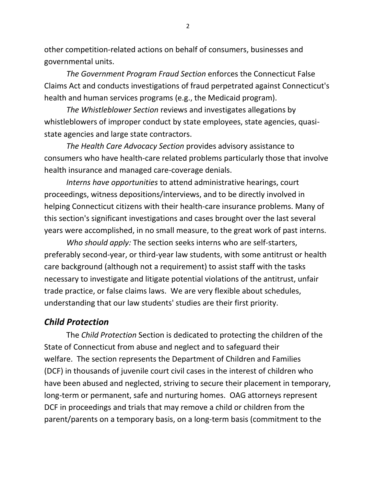other competition-related actions on behalf of consumers, businesses and governmental units.

*The Government Program Fraud Section* enforces the Connecticut False Claims Act and conducts investigations of fraud perpetrated against Connecticut's health and human services programs (e.g., the Medicaid program).

*The Whistleblower Section* reviews and investigates allegations by whistleblowers of improper conduct by state employees, state agencies, quasistate agencies and large state contractors.

*The Health Care Advocacy Section* provides advisory assistance to consumers who have health-care related problems particularly those that involve health insurance and managed care-coverage denials.

*Interns have opportunities* to attend administrative hearings, court proceedings, witness depositions/interviews, and to be directly involved in helping Connecticut citizens with their health-care insurance problems. Many of this section's significant investigations and cases brought over the last several years were accomplished, in no small measure, to the great work of past interns.

*Who should apply:* The section seeks interns who are self-starters, preferably second-year, or third-year law students, with some antitrust or health care background (although not a requirement) to assist staff with the tasks necessary to investigate and litigate potential violations of the antitrust, unfair trade practice, or false claims laws. We are very flexible about schedules, understanding that our law students' studies are their first priority.

# *Child Protection*

The *Child Protection* Section is dedicated to protecting the children of the State of Connecticut from abuse and neglect and to safeguard their welfare. The section represents the Department of Children and Families (DCF) in thousands of juvenile court civil cases in the interest of children who have been abused and neglected, striving to secure their placement in temporary, long-term or permanent, safe and nurturing homes. OAG attorneys represent DCF in proceedings and trials that may remove a child or children from the parent/parents on a temporary basis, on a long-term basis (commitment to the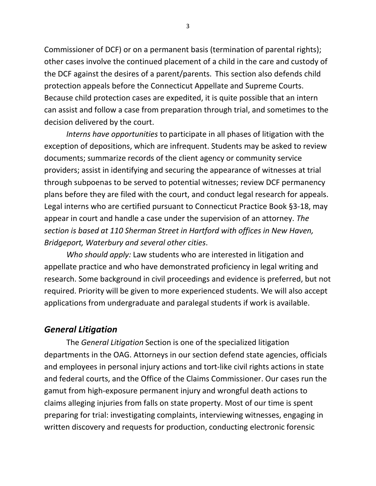Commissioner of DCF) or on a permanent basis (termination of parental rights); other cases involve the continued placement of a child in the care and custody of the DCF against the desires of a parent/parents. This section also defends child protection appeals before the Connecticut Appellate and Supreme Courts. Because child protection cases are expedited, it is quite possible that an intern can assist and follow a case from preparation through trial, and sometimes to the decision delivered by the court.

*Interns have opportunities* to participate in all phases of litigation with the exception of depositions, which are infrequent. Students may be asked to review documents; summarize records of the client agency or community service providers; assist in identifying and securing the appearance of witnesses at trial through subpoenas to be served to potential witnesses; review DCF permanency plans before they are filed with the court, and conduct legal research for appeals. Legal interns who are certified pursuant to Connecticut Practice Book §3-18, may appear in court and handle a case under the supervision of an attorney. *The section is based at 110 Sherman Street in Hartford with offices in New Haven, Bridgeport, Waterbury and several other cities*.

*Who should apply:* Law students who are interested in litigation and appellate practice and who have demonstrated proficiency in legal writing and research. Some background in civil proceedings and evidence is preferred, but not required. Priority will be given to more experienced students. We will also accept applications from undergraduate and paralegal students if work is available.

## *General Litigation*

The *General Litigation* Section is one of the specialized litigation departments in the OAG. Attorneys in our section defend state agencies, officials and employees in personal injury actions and tort-like civil rights actions in state and federal courts, and the Office of the Claims Commissioner. Our cases run the gamut from high-exposure permanent injury and wrongful death actions to claims alleging injuries from falls on state property. Most of our time is spent preparing for trial: investigating complaints, interviewing witnesses, engaging in written discovery and requests for production, conducting electronic forensic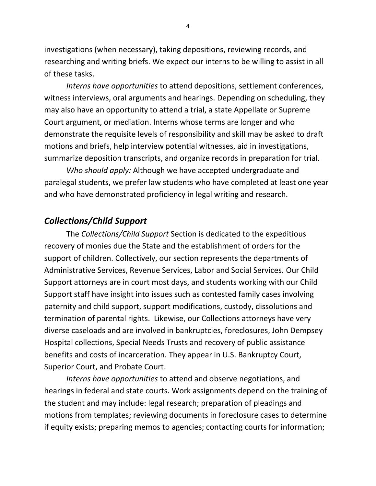investigations (when necessary), taking depositions, reviewing records, and researching and writing briefs. We expect our interns to be willing to assist in all of these tasks.

*Interns have opportunities* to attend depositions, settlement conferences, witness interviews, oral arguments and hearings. Depending on scheduling, they may also have an opportunity to attend a trial, a state Appellate or Supreme Court argument, or mediation. Interns whose terms are longer and who demonstrate the requisite levels of responsibility and skill may be asked to draft motions and briefs, help interview potential witnesses, aid in investigations, summarize deposition transcripts, and organize records in preparation for trial.

*Who should apply:* Although we have accepted undergraduate and paralegal students, we prefer law students who have completed at least one year and who have demonstrated proficiency in legal writing and research.

# *Collections/Child Support*

The *Collections/Child Support* Section is dedicated to the expeditious recovery of monies due the State and the establishment of orders for the support of children. Collectively, our section represents the departments of Administrative Services, Revenue Services, Labor and Social Services. Our Child Support attorneys are in court most days, and students working with our Child Support staff have insight into issues such as contested family cases involving paternity and child support, support modifications, custody, dissolutions and termination of parental rights. Likewise, our Collections attorneys have very diverse caseloads and are involved in bankruptcies, foreclosures, John Dempsey Hospital collections, Special Needs Trusts and recovery of public assistance benefits and costs of incarceration. They appear in U.S. Bankruptcy Court, Superior Court, and Probate Court.

*Interns have opportunities* to attend and observe negotiations, and hearings in federal and state courts. Work assignments depend on the training of the student and may include: legal research; preparation of pleadings and motions from templates; reviewing documents in foreclosure cases to determine if equity exists; preparing memos to agencies; contacting courts for information;

4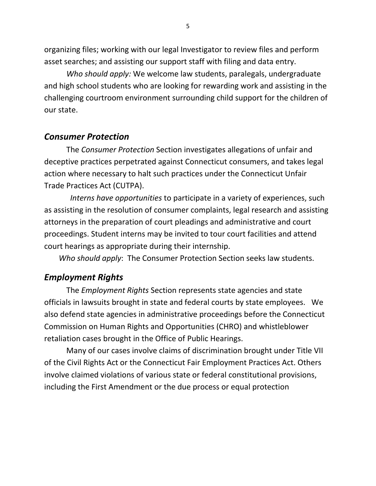organizing files; working with our legal Investigator to review files and perform asset searches; and assisting our support staff with filing and data entry.

*Who should apply:* We welcome law students, paralegals, undergraduate and high school students who are looking for rewarding work and assisting in the challenging courtroom environment surrounding child support for the children of our state.

### *Consumer Protection*

The *Consumer Protection* Section investigates allegations of unfair and deceptive practices perpetrated against Connecticut consumers, and takes legal action where necessary to halt such practices under the Connecticut Unfair Trade Practices Act (CUTPA).

 *Interns have opportunities* to participate in a variety of experiences, such as assisting in the resolution of consumer complaints, legal research and assisting attorneys in the preparation of court pleadings and administrative and court proceedings. Student interns may be invited to tour court facilities and attend court hearings as appropriate during their internship.

*Who should apply*: The Consumer Protection Section seeks law students.

## *Employment Rights*

The *Employment Rights* Section represents state agencies and state officials in lawsuits brought in state and federal courts by state employees. We also defend state agencies in administrative proceedings before the Connecticut Commission on Human Rights and Opportunities (CHRO) and whistleblower retaliation cases brought in the Office of Public Hearings.

Many of our cases involve claims of discrimination brought under Title VII of the Civil Rights Act or the Connecticut Fair Employment Practices Act. Others involve claimed violations of various state or federal constitutional provisions, including the First Amendment or the due process or equal protection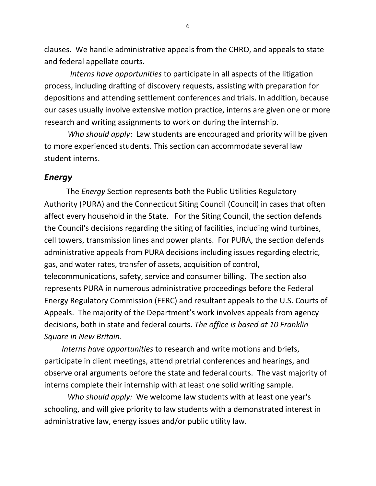clauses. We handle administrative appeals from the CHRO, and appeals to state and federal appellate courts.

*Interns have opportunities* to participate in all aspects of the litigation process, including drafting of discovery requests, assisting with preparation for depositions and attending settlement conferences and trials. In addition, because our cases usually involve extensive motion practice, interns are given one or more research and writing assignments to work on during the internship.

 *Who should apply*: Law students are encouraged and priority will be given to more experienced students. This section can accommodate several law student interns.

#### *Energy*

The *Energy* Section represents both the Public Utilities Regulatory Authority (PURA) and the Connecticut Siting Council (Council) in cases that often affect every household in the State. For the Siting Council, the section defends the Council's decisions regarding the siting of facilities, including wind turbines, cell towers, transmission lines and power plants. For PURA, the section defends administrative appeals from PURA decisions including issues regarding electric, gas, and water rates, transfer of assets, acquisition of control, telecommunications, safety, service and consumer billing. The section also represents PURA in numerous administrative proceedings before the Federal Energy Regulatory Commission (FERC) and resultant appeals to the U.S. Courts of Appeals. The majority of the Department's work involves appeals from agency decisions, both in state and federal courts. *The office is based at 10 Franklin Square in New Britain*.

 *Interns have opportunities* to research and write motions and briefs, participate in client meetings, attend pretrial conferences and hearings, and observe oral arguments before the state and federal courts. The vast majority of interns complete their internship with at least one solid writing sample.

 *Who should apply:* We welcome law students with at least one year's schooling, and will give priority to law students with a demonstrated interest in administrative law, energy issues and/or public utility law.

6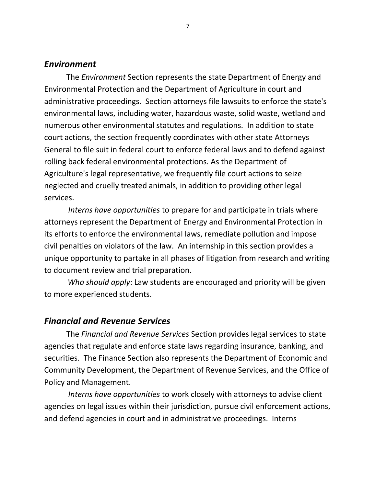#### *Environment*

The *Environment* Section represents the state Department of Energy and Environmental Protection and the Department of Agriculture in court and administrative proceedings. Section attorneys file lawsuits to enforce the state's environmental laws, including water, hazardous waste, solid waste, wetland and numerous other environmental statutes and regulations. In addition to state court actions, the section frequently coordinates with other state Attorneys General to file suit in federal court to enforce federal laws and to defend against rolling back federal environmental protections. As the Department of Agriculture's legal representative, we frequently file court actions to seize neglected and cruelly treated animals, in addition to providing other legal services.

*Interns have opportunities* to prepare for and participate in trials where attorneys represent the Department of Energy and Environmental Protection in its efforts to enforce the environmental laws, remediate pollution and impose civil penalties on violators of the law. An internship in this section provides a unique opportunity to partake in all phases of litigation from research and writing to document review and trial preparation.

 *Who should apply*: Law students are encouraged and priority will be given to more experienced students.

#### *Financial and Revenue Services*

The *Financial and Revenue Services* Section provides legal services to state agencies that regulate and enforce state laws regarding insurance, banking, and securities. The Finance Section also represents the Department of Economic and Community Development, the Department of Revenue Services, and the Office of Policy and Management.

*Interns have opportunities* to work closely with attorneys to advise client agencies on legal issues within their jurisdiction, pursue civil enforcement actions, and defend agencies in court and in administrative proceedings. Interns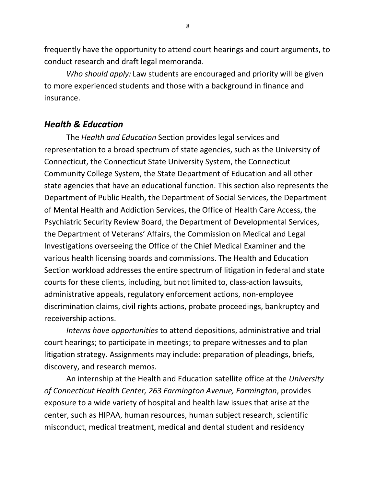frequently have the opportunity to attend court hearings and court arguments, to conduct research and draft legal memoranda.

*Who should apply:* Law students are encouraged and priority will be given to more experienced students and those with a background in finance and insurance.

# *Health & Education*

The *Health and Education* Section provides legal services and representation to a broad spectrum of state agencies, such as the University of Connecticut, the Connecticut State University System, the Connecticut Community College System, the State Department of Education and all other state agencies that have an educational function. This section also represents the Department of Public Health, the Department of Social Services, the Department of Mental Health and Addiction Services, the Office of Health Care Access, the Psychiatric Security Review Board, the Department of Developmental Services, the Department of Veterans' Affairs, the Commission on Medical and Legal Investigations overseeing the Office of the Chief Medical Examiner and the various health licensing boards and commissions. The Health and Education Section workload addresses the entire spectrum of litigation in federal and state courts for these clients, including, but not limited to, class-action lawsuits, administrative appeals, regulatory enforcement actions, non-employee discrimination claims, civil rights actions, probate proceedings, bankruptcy and receivership actions.

*Interns have opportunities* to attend depositions, administrative and trial court hearings; to participate in meetings; to prepare witnesses and to plan litigation strategy. Assignments may include: preparation of pleadings, briefs, discovery, and research memos.

An internship at the Health and Education satellite office at the *University of Connecticut Health Center, 263 Farmington Avenue, Farmington*, provides exposure to a wide variety of hospital and health law issues that arise at the center, such as HIPAA, human resources, human subject research, scientific misconduct, medical treatment, medical and dental student and residency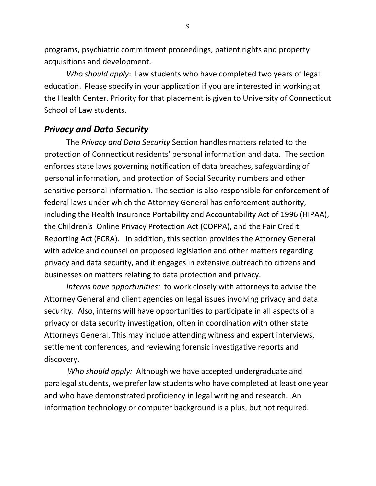programs, psychiatric commitment proceedings, patient rights and property acquisitions and development.

*Who should apply*: Law students who have completed two years of legal education. Please specify in your application if you are interested in working at the Health Center. Priority for that placement is given to University of Connecticut School of Law students.

# *Privacy and Data Security*

The *Privacy and Data Security* Section handles matters related to the protection of Connecticut residents' personal information and data. The section enforces state laws governing notification of data breaches, safeguarding of personal information, and protection of Social Security numbers and other sensitive personal information. The section is also responsible for enforcement of federal laws under which the Attorney General has enforcement authority, including the Health Insurance Portability and Accountability Act of 1996 (HIPAA), the Children's Online Privacy Protection Act (COPPA), and the Fair Credit Reporting Act (FCRA). In addition, this section provides the Attorney General with advice and counsel on proposed legislation and other matters regarding privacy and data security, and it engages in extensive outreach to citizens and businesses on matters relating to data protection and privacy.

*Interns have opportunities:* to work closely with attorneys to advise the Attorney General and client agencies on legal issues involving privacy and data security. Also, interns will have opportunities to participate in all aspects of a privacy or data security investigation, often in coordination with other state Attorneys General. This may include attending witness and expert interviews, settlement conferences, and reviewing forensic investigative reports and discovery.

 *Who should apply:* Although we have accepted undergraduate and paralegal students, we prefer law students who have completed at least one year and who have demonstrated proficiency in legal writing and research. An information technology or computer background is a plus, but not required.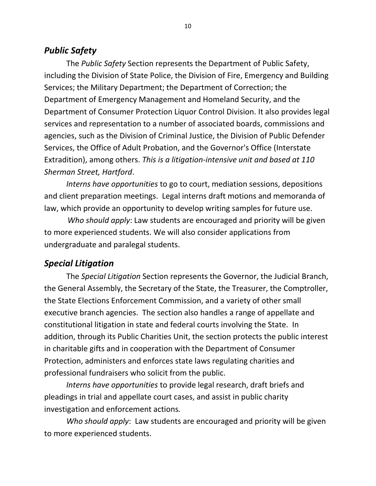# *Public Safety*

The *Public Safety* Section represents the Department of Public Safety, including the Division of State Police, the Division of Fire, Emergency and Building Services; the Military Department; the Department of Correction; the Department of Emergency Management and Homeland Security, and the Department of Consumer Protection Liquor Control Division. It also provides legal services and representation to a number of associated boards, commissions and agencies, such as the Division of Criminal Justice, the Division of Public Defender Services, the Office of Adult Probation, and the Governor's Office (Interstate Extradition), among others. *This is a litigation-intensive unit and based at 110 Sherman Street, Hartford*.

*Interns have opportunities* to go to court, mediation sessions, depositions and client preparation meetings. Legal interns draft motions and memoranda of law, which provide an opportunity to develop writing samples for future use.

 *Who should apply*: Law students are encouraged and priority will be given to more experienced students. We will also consider applications from undergraduate and paralegal students.

## *Special Litigation*

The *Special Litigation* Section represents the Governor, the Judicial Branch, the General Assembly, the Secretary of the State, the Treasurer, the Comptroller, the State Elections Enforcement Commission, and a variety of other small executive branch agencies. The section also handles a range of appellate and constitutional litigation in state and federal courts involving the State. In addition, through its Public Charities Unit, the section protects the public interest in charitable gifts and in cooperation with the Department of Consumer Protection, administers and enforces state laws regulating charities and professional fundraisers who solicit from the public.

*Interns have opportunities* to provide legal research, draft briefs and pleadings in trial and appellate court cases, and assist in public charity investigation and enforcement actions*.* 

*Who should apply*: Law students are encouraged and priority will be given to more experienced students.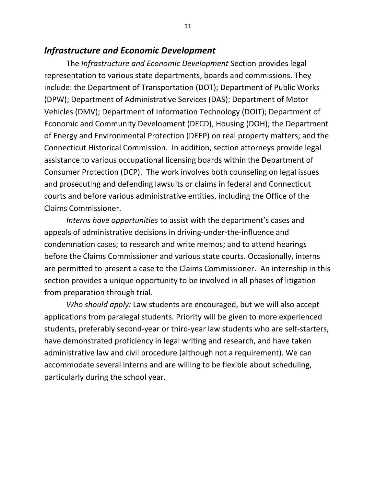## *Infrastructure and Economic Development*

The *Infrastructure and Economic Development* Section provides legal representation to various state departments, boards and commissions. They include: the Department of Transportation (DOT); Department of Public Works (DPW); Department of Administrative Services (DAS); Department of Motor Vehicles (DMV); Department of Information Technology (DOIT); Department of Economic and Community Development (DECD), Housing (DOH); the Department of Energy and Environmental Protection (DEEP) on real property matters; and the Connecticut Historical Commission. In addition, section attorneys provide legal assistance to various occupational licensing boards within the Department of Consumer Protection (DCP). The work involves both counseling on legal issues and prosecuting and defending lawsuits or claims in federal and Connecticut courts and before various administrative entities, including the Office of the Claims Commissioner.

*Interns have opportunities* to assist with the department's cases and appeals of administrative decisions in driving-under-the-influence and condemnation cases; to research and write memos; and to attend hearings before the Claims Commissioner and various state courts. Occasionally, interns are permitted to present a case to the Claims Commissioner. An internship in this section provides a unique opportunity to be involved in all phases of litigation from preparation through trial.

*Who should apply:* Law students are encouraged, but we will also accept applications from paralegal students. Priority will be given to more experienced students, preferably second-year or third-year law students who are self-starters, have demonstrated proficiency in legal writing and research, and have taken administrative law and civil procedure (although not a requirement). We can accommodate several interns and are willing to be flexible about scheduling, particularly during the school year.